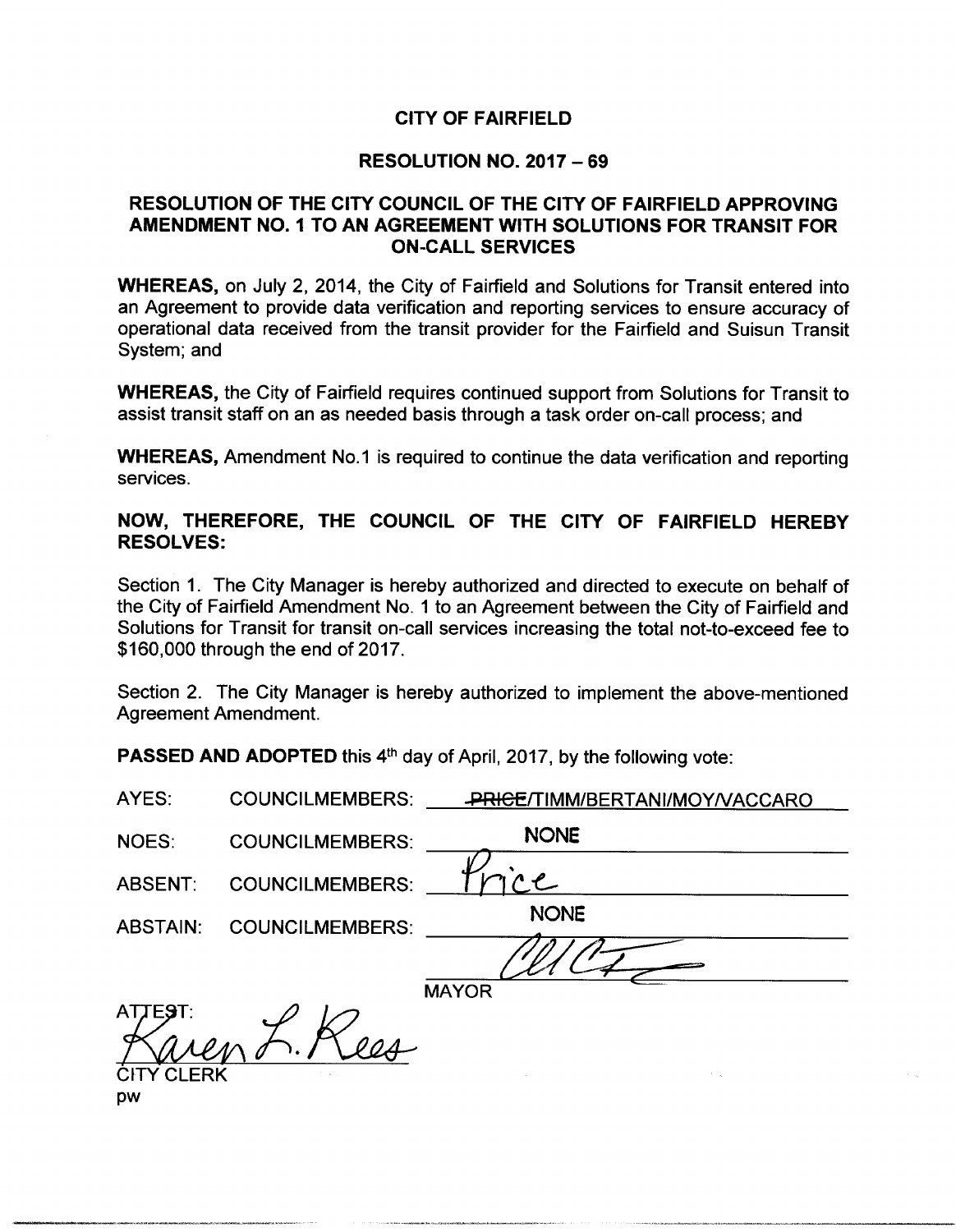## CITY OF FAIRFIELD

#### RESOLUTION NO. 2017 — 69

# RESOLUTION OF THE CITY COUNCIL OF THE CITY OF FAIRFIELD APPROVING AMENDMENT NO. 1 TO AN AGREEMENT WITH SOLUTIONS FOR TRANSIT FOR **ON-CALL SERVICES**

WHEREAS, on July 2, 2014, the City of Fairfield and Solutions for Transit entered into an Agreement to provide data verification and reporting services to ensure accuracy of operational data received from the transit provider for the Fairfield and Suisun Transit System; and

WHEREAS, the City of Fairfield requires continued support from Solutions for Transit to assist transit staff on an as needed basis through a task order on-call process; and

WHEREAS, Amendment No.1 is required to continue the data verification and reporting services.

#### NOW, THEREFORE, THE COUNCIL OF THE CITY OF FAIRFIELD HEREBY RESOLVES:

Section 1. The City Manager is hereby authorized and directed to execute on behalf of the City of Fairfield Amendment No. 1 to an Agreement between the City of Fairfield and Solutions for Transit for transit on-call services increasing the total not-to-exceed fee to 160, 000 through the end of 2017.

Section 2. The City Manager is hereby authorized to implement the above-mentioned Agreement Amendment.

PASSED AND ADOPTED this 4<sup>th</sup> day of April, 2017, by the following vote:

| AYES:              | <b>COUNCILMEMBERS:</b> | PRICE/TIMM/BERTANI/MOY/VACCARO |
|--------------------|------------------------|--------------------------------|
| <b>NOES:</b>       | <b>COUNCILMEMBERS:</b> | <b>NONE</b>                    |
| <b>ABSENT:</b>     | <b>COUNCILMEMBERS:</b> | $\mathcal{L}$                  |
| <b>ABSTAIN:</b>    | <b>COUNCILMEMBERS:</b> | <b>NONE</b>                    |
|                    |                        |                                |
|                    |                        | <b>MAYOR</b>                   |
| <b>TEST:</b><br>AT |                        |                                |
| <b>CITY CLERK</b>  |                        |                                |
| pw                 |                        |                                |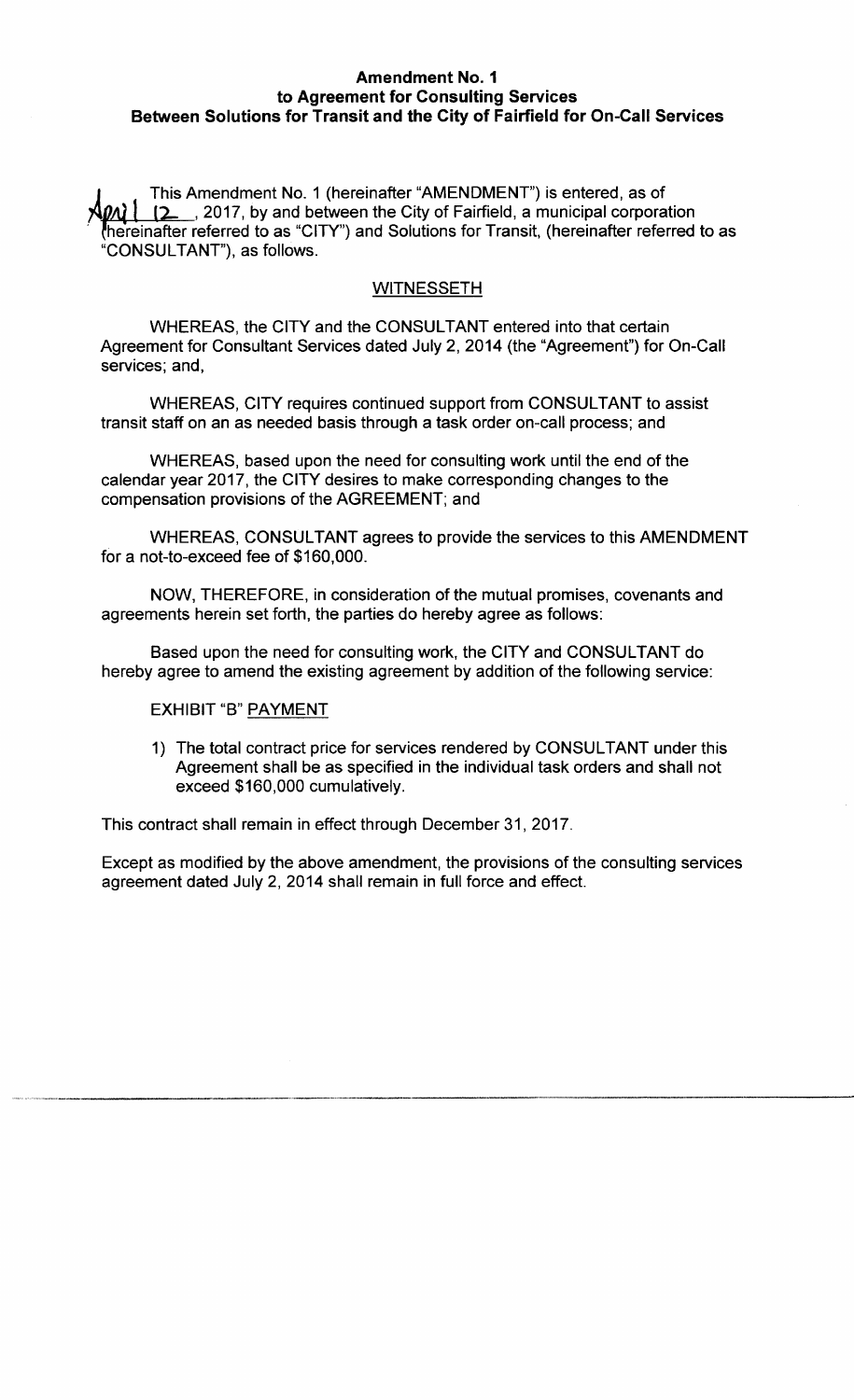### Amendment No. 1 to Agreement for Consulting Services Between Solutions for Transit and the City of Fairfield for On-Call Services

A This Amendment No. 1 ( hereinafter "AMENDMENT") is entered, as of 2017, by and between the City of Fairfield, a municipal corporation hereinafter referred to as "CITY") and Solutions for Transit, (hereinafter referred to as CONSULTANT"), as follows.

# **WITNESSETH**

WHEREAS, the CITY and the CONSULTANT entered into that certain Agreement for Consultant Services dated July 2, 2014 (the "Agreement") for On-Call services; and,

WHEREAS, CITY requires continued support from CONSULTANT to assist transit staff on an as needed basis through a task order on-call process; and

WHEREAS, based upon the need for consulting work until the end of the calendar year 2017, the CITY desires to make corresponding changes to the compensation provisions of the AGREEMENT; and

WHEREAS, CONSULTANT agrees to provide the services to this AMENDMENT for a not-to-exceed fee of \$160,000.

NOW, THEREFORE, in consideration of the mutual promises, covenants and agreements herein set forth, the parties do hereby agree as follows:

Based upon the need for consulting work, the CITY and CONSULTANT do hereby agree to amend the existing agreement by addition of the following service:

#### EXHIBIT "B" PAYMENT

1) The total contract price for services rendered by CONSULTANT under this Agreement shall be as specified in the individual task orders and shall not exceed \$160,000 cumulatively.

This contract shall remain in effect through December 31, 2017.

Except as modified by the above amendment, the provisions of the consulting services agreement dated July 2, 2014 shall remain in full force and effect.